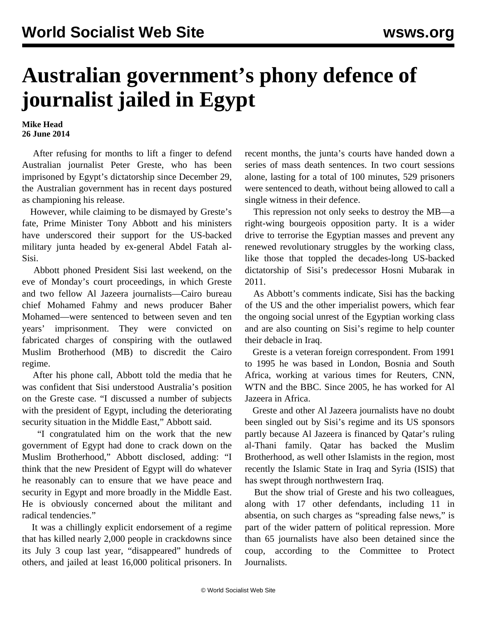## **Australian government's phony defence of journalist jailed in Egypt**

**Mike Head 26 June 2014**

 After refusing for months to lift a finger to defend Australian journalist Peter Greste, who has been imprisoned by Egypt's dictatorship since December 29, the Australian government has in recent days postured as championing his release.

 However, while claiming to be dismayed by Greste's fate, Prime Minister Tony Abbott and his ministers have underscored their support for the US-backed military junta headed by ex-general Abdel Fatah al-Sisi.

 Abbott phoned President Sisi last weekend, on the eve of Monday's court proceedings, in which Greste and two fellow Al Jazeera journalists—Cairo bureau chief Mohamed Fahmy and news producer Baher Mohamed—were sentenced to between seven and ten years' imprisonment. They were convicted on fabricated charges of conspiring with the outlawed Muslim Brotherhood (MB) to discredit the Cairo regime.

 After his phone call, Abbott told the media that he was confident that Sisi understood Australia's position on the Greste case. "I discussed a number of subjects with the president of Egypt, including the deteriorating security situation in the Middle East," Abbott said.

 "I congratulated him on the work that the new government of Egypt had done to crack down on the Muslim Brotherhood," Abbott disclosed, adding: "I think that the new President of Egypt will do whatever he reasonably can to ensure that we have peace and security in Egypt and more broadly in the Middle East. He is obviously concerned about the militant and radical tendencies."

 It was a chillingly explicit endorsement of a regime that has killed nearly 2,000 people in crackdowns since its July 3 coup last year, "disappeared" hundreds of others, and jailed at least 16,000 political prisoners. In recent months, the junta's courts have handed down a series of mass death sentences. In two court sessions alone, lasting for a total of 100 minutes, 529 prisoners were sentenced to death, without being allowed to call a single witness in their defence.

 This repression not only seeks to destroy the MB—a right-wing bourgeois opposition party. It is a wider drive to terrorise the Egyptian masses and prevent any renewed revolutionary struggles by the working class, like those that toppled the decades-long US-backed dictatorship of Sisi's predecessor Hosni Mubarak in 2011.

 As Abbott's comments indicate, Sisi has the backing of the US and the other imperialist powers, which fear the ongoing social unrest of the Egyptian working class and are also counting on Sisi's regime to help counter their debacle in Iraq.

 Greste is a veteran foreign correspondent. From 1991 to 1995 he was based in London, Bosnia and South Africa, working at various times for Reuters, CNN, WTN and the BBC. Since 2005, he has worked for Al Jazeera in Africa.

 Greste and other Al Jazeera journalists have no doubt been singled out by Sisi's regime and its US sponsors partly because Al Jazeera is financed by Qatar's ruling al-Thani family. Qatar has backed the Muslim Brotherhood, as well other Islamists in the region, most recently the Islamic State in Iraq and Syria (ISIS) that has swept through northwestern Iraq.

 But the show trial of Greste and his two colleagues, along with 17 other defendants, including 11 in absentia, on such charges as "spreading false news," is part of the wider pattern of political repression. More than 65 journalists have also been detained since the coup, according to the Committee to Protect Journalists.